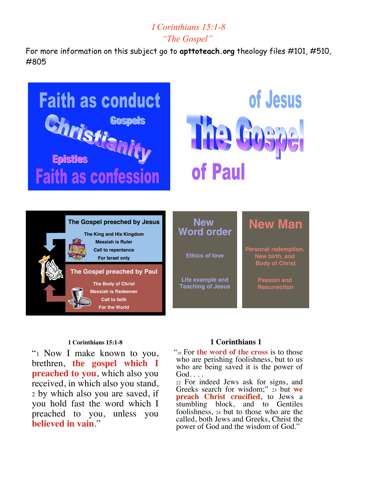# *I Corinthians 15:1-8 "The Gospel"*

For more information on this subject go to **apttoteach.org** theology files #101, #510, #805



#### **1 Corinthians 15:1-8**

"1 Now I make known to you, brethren, **the gospel which I preached to you**, which also you received, in which also you stand, <sup>2</sup> by which also you are saved, if you hold fast the word which I preached to you, unless you **believed in vain**."

#### **1 Corinthians 1**

 "18 For **the word of the cross** is to those who are perishing foolishness, but to us who are being saved it is the power of God. . . .

<sup>22</sup> For indeed Jews ask for signs, and Greeks search for wisdom;" <sup>23</sup> but **we preach Christ crucified**, to Jews a stumbling block, and to Gentiles foolishness, <sup>24</sup> but to those who are the called, both Jews and Greeks, Christ the power of God and the wisdom of God."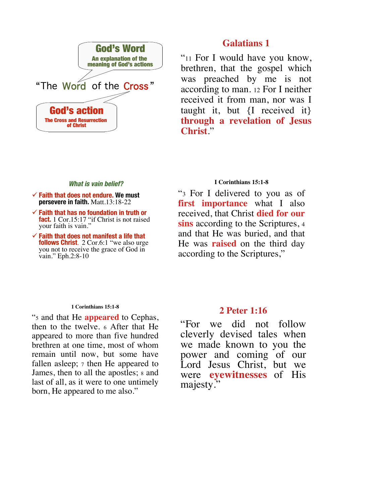

#### **What is vain belief? What is vain belief?**

- $\checkmark$  Faith that does not endure. We must **persevere in faith.** Matt.13:18-22
- $\checkmark$  Faith that has no foundation in truth or **fact.** 1 Cor.15:17 "if Christ is not raised your faith is vain."
- $\checkmark$  Faith that does not manifest a life that **follows Christ**. 2 Cor.6:1 "we also urge you not to receive the grace of God in vain." Eph.2:8-10

#### **1 Corinthians 15:1-8**

"5 and that He **appeared** to Cephas, then to the twelve. <sup>6</sup> After that He appeared to more than five hundred brethren at one time, most of whom remain until now, but some have fallen asleep;  $\tau$  then He appeared to James, then to all the apostles; <sup>8</sup> and last of all, as it were to one untimely born, He appeared to me also."

## **Galatians 1**

"<sup>11</sup> For I would have you know, brethren, that the gospel which was preached by me is not according to man. 12 For I neither received it from man, nor was I taught it, but {I received it} **through a revelation of Jesus Christ**."

#### **I Corinthians 15:1-8**

"3 For I delivered to you as of **first importance** what I also received, that Christ **died for our sins** according to the Scriptures, 4 and that He was buried, and that He was **raised** on the third day according to the Scriptures,"

### **2 Peter 1:16**

"For we did not follow cleverly devised tales when we made known to you the power and coming of our Lord Jesus Christ, but we were **eyewitnesses** of His majesty."